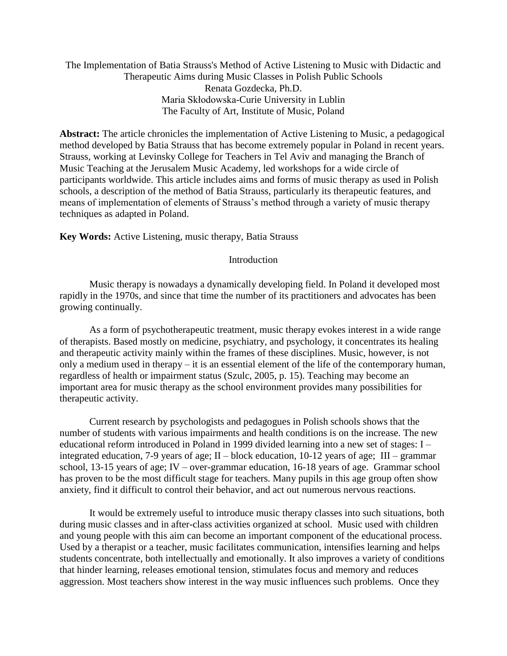The Implementation of Batia Strauss's Method of Active Listening to Music with Didactic and Therapeutic Aims during Music Classes in Polish Public Schools Renata Gozdecka, Ph.D. Maria Skłodowska-Curie University in Lublin The Faculty of Art, Institute of Music, Poland

**Abstract:** The article chronicles the implementation of Active Listening to Music, a pedagogical method developed by Batia Strauss that has become extremely popular in Poland in recent years. Strauss, working at Levinsky College for Teachers in Tel Aviv and managing the Branch of Music Teaching at the Jerusalem Music Academy, led workshops for a wide circle of participants worldwide. This article includes aims and forms of music therapy as used in Polish schools, a description of the method of Batia Strauss, particularly its therapeutic features, and means of implementation of elements of Strauss's method through a variety of music therapy techniques as adapted in Poland.

### **Key Words:** Active Listening, music therapy, Batia Strauss

### Introduction

Music therapy is nowadays a dynamically developing field. In Poland it developed most rapidly in the 1970s, and since that time the number of its practitioners and advocates has been growing continually.

As a form of psychotherapeutic treatment, music therapy evokes interest in a wide range of therapists. Based mostly on medicine, psychiatry, and psychology, it concentrates its healing and therapeutic activity mainly within the frames of these disciplines. Music, however, is not only a medium used in therapy – it is an essential element of the life of the contemporary human, regardless of health or impairment status (Szulc, 2005, p. 15). Teaching may become an important area for music therapy as the school environment provides many possibilities for therapeutic activity.

Current research by psychologists and pedagogues in Polish schools shows that the number of students with various impairments and health conditions is on the increase. The new educational reform introduced in Poland in 1999 divided learning into a new set of stages: I – integrated education, 7-9 years of age; II – block education, 10-12 years of age; III – grammar school, 13-15 years of age; IV – over-grammar education, 16-18 years of age. Grammar school has proven to be the most difficult stage for teachers. Many pupils in this age group often show anxiety, find it difficult to control their behavior, and act out numerous nervous reactions.

It would be extremely useful to introduce music therapy classes into such situations, both during music classes and in after-class activities organized at school. Music used with children and young people with this aim can become an important component of the educational process. Used by a therapist or a teacher, music facilitates communication, intensifies learning and helps students concentrate, both intellectually and emotionally. It also improves a variety of conditions that hinder learning, releases emotional tension, stimulates focus and memory and reduces aggression. Most teachers show interest in the way music influences such problems. Once they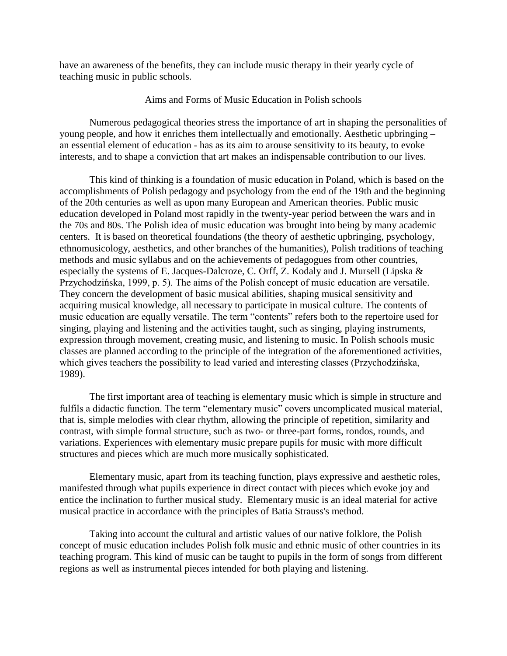have an awareness of the benefits, they can include music therapy in their yearly cycle of teaching music in public schools.

# Aims and Forms of Music Education in Polish schools

Numerous pedagogical theories stress the importance of art in shaping the personalities of young people, and how it enriches them intellectually and emotionally. Aesthetic upbringing – an essential element of education - has as its aim to arouse sensitivity to its beauty, to evoke interests, and to shape a conviction that art makes an indispensable contribution to our lives.

This kind of thinking is a foundation of music education in Poland, which is based on the accomplishments of Polish pedagogy and psychology from the end of the 19th and the beginning of the 20th centuries as well as upon many European and American theories. Public music education developed in Poland most rapidly in the twenty-year period between the wars and in the 70s and 80s. The Polish idea of music education was brought into being by many academic centers. It is based on theoretical foundations (the theory of aesthetic upbringing, psychology, ethnomusicology, aesthetics, and other branches of the humanities), Polish traditions of teaching methods and music syllabus and on the achievements of pedagogues from other countries, especially the systems of E. Jacques-Dalcroze, C. Orff, Z. Kodaly and J. Mursell (Lipska & Przychodzińska, 1999, p. 5). The aims of the Polish concept of music education are versatile. They concern the development of basic musical abilities, shaping musical sensitivity and acquiring musical knowledge, all necessary to participate in musical culture. The contents of music education are equally versatile. The term "contents" refers both to the repertoire used for singing, playing and listening and the activities taught, such as singing, playing instruments, expression through movement, creating music, and listening to music. In Polish schools music classes are planned according to the principle of the integration of the aforementioned activities, which gives teachers the possibility to lead varied and interesting classes (Przychodzińska, 1989).

The first important area of teaching is elementary music which is simple in structure and fulfils a didactic function. The term "elementary music" covers uncomplicated musical material, that is, simple melodies with clear rhythm, allowing the principle of repetition, similarity and contrast, with simple formal structure, such as two- or three-part forms, rondos, rounds, and variations. Experiences with elementary music prepare pupils for music with more difficult structures and pieces which are much more musically sophisticated.

Elementary music, apart from its teaching function, plays expressive and aesthetic roles, manifested through what pupils experience in direct contact with pieces which evoke joy and entice the inclination to further musical study. Elementary music is an ideal material for active musical practice in accordance with the principles of Batia Strauss's method.

Taking into account the cultural and artistic values of our native folklore, the Polish concept of music education includes Polish folk music and ethnic music of other countries in its teaching program. This kind of music can be taught to pupils in the form of songs from different regions as well as instrumental pieces intended for both playing and listening.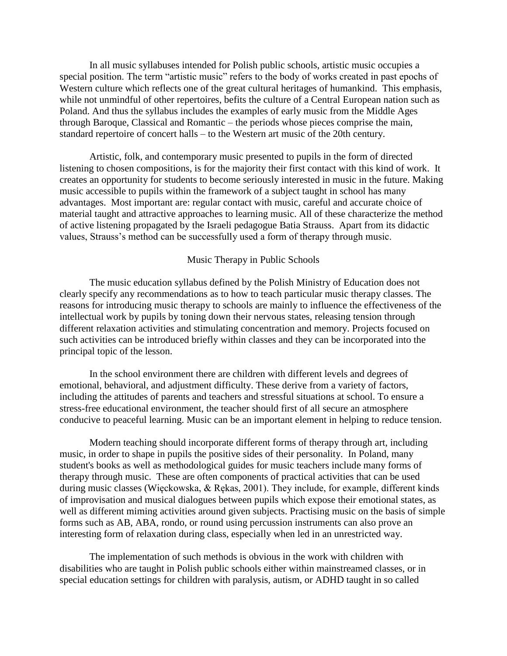In all music syllabuses intended for Polish public schools, artistic music occupies a special position. The term "artistic music" refers to the body of works created in past epochs of Western culture which reflects one of the great cultural heritages of humankind. This emphasis, while not unmindful of other repertoires, befits the culture of a Central European nation such as Poland. And thus the syllabus includes the examples of early music from the Middle Ages through Baroque, Classical and Romantic – the periods whose pieces comprise the main, standard repertoire of concert halls – to the Western art music of the 20th century.

Artistic, folk, and contemporary music presented to pupils in the form of directed listening to chosen compositions, is for the majority their first contact with this kind of work. It creates an opportunity for students to become seriously interested in music in the future. Making music accessible to pupils within the framework of a subject taught in school has many advantages. Most important are: regular contact with music, careful and accurate choice of material taught and attractive approaches to learning music. All of these characterize the method of active listening propagated by the Israeli pedagogue Batia Strauss. Apart from its didactic values, Strauss's method can be successfully used a form of therapy through music.

# Music Therapy in Public Schools

The music education syllabus defined by the Polish Ministry of Education does not clearly specify any recommendations as to how to teach particular music therapy classes. The reasons for introducing music therapy to schools are mainly to influence the effectiveness of the intellectual work by pupils by toning down their nervous states, releasing tension through different relaxation activities and stimulating concentration and memory. Projects focused on such activities can be introduced briefly within classes and they can be incorporated into the principal topic of the lesson.

In the school environment there are children with different levels and degrees of emotional, behavioral, and adjustment difficulty. These derive from a variety of factors, including the attitudes of parents and teachers and stressful situations at school. To ensure a stress-free educational environment, the teacher should first of all secure an atmosphere conducive to peaceful learning. Music can be an important element in helping to reduce tension.

Modern teaching should incorporate different forms of therapy through art, including music, in order to shape in pupils the positive sides of their personality. In Poland, many student's books as well as methodological guides for music teachers include many forms of therapy through music. These are often components of practical activities that can be used during music classes (Więckowska, & Rękas, 2001). They include, for example, different kinds of improvisation and musical dialogues between pupils which expose their emotional states, as well as different miming activities around given subjects. Practising music on the basis of simple forms such as AB, ABA, rondo, or round using percussion instruments can also prove an interesting form of relaxation during class, especially when led in an unrestricted way.

The implementation of such methods is obvious in the work with children with disabilities who are taught in Polish public schools either within mainstreamed classes, or in special education settings for children with paralysis, autism, or ADHD taught in so called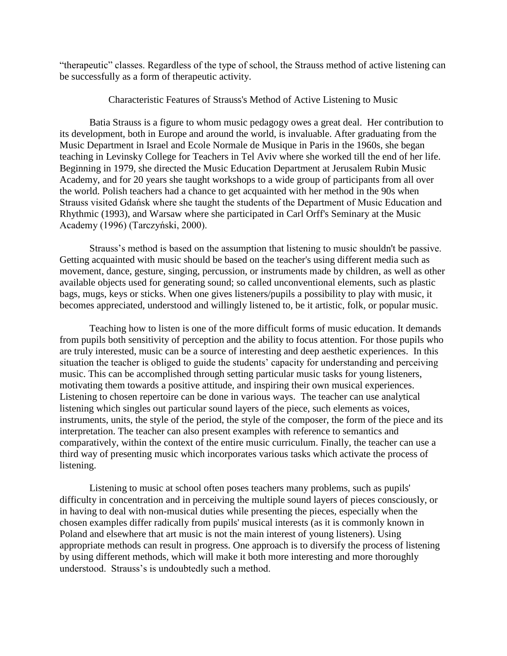"therapeutic" classes. Regardless of the type of school, the Strauss method of active listening can be successfully as a form of therapeutic activity.

Characteristic Features of Strauss's Method of Active Listening to Music

Batia Strauss is a figure to whom music pedagogy owes a great deal. Her contribution to its development, both in Europe and around the world, is invaluable. After graduating from the Music Department in Israel and Ecole Normale de Musique in Paris in the 1960s, she began teaching in Levinsky College for Teachers in Tel Aviv where she worked till the end of her life. Beginning in 1979, she directed the Music Education Department at Jerusalem Rubin Music Academy, and for 20 years she taught workshops to a wide group of participants from all over the world. Polish teachers had a chance to get acquainted with her method in the 90s when Strauss visited Gdańsk where she taught the students of the Department of Music Education and Rhythmic (1993), and Warsaw where she participated in Carl Orff's Seminary at the Music Academy (1996) (Tarczyński, 2000).

Strauss's method is based on the assumption that listening to music shouldn't be passive. Getting acquainted with music should be based on the teacher's using different media such as movement, dance, gesture, singing, percussion, or instruments made by children, as well as other available objects used for generating sound; so called unconventional elements, such as plastic bags, mugs, keys or sticks. When one gives listeners/pupils a possibility to play with music, it becomes appreciated, understood and willingly listened to, be it artistic, folk, or popular music.

Teaching how to listen is one of the more difficult forms of music education. It demands from pupils both sensitivity of perception and the ability to focus attention. For those pupils who are truly interested, music can be a source of interesting and deep aesthetic experiences. In this situation the teacher is obliged to guide the students' capacity for understanding and perceiving music. This can be accomplished through setting particular music tasks for young listeners, motivating them towards a positive attitude, and inspiring their own musical experiences. Listening to chosen repertoire can be done in various ways. The teacher can use analytical listening which singles out particular sound layers of the piece, such elements as voices, instruments, units, the style of the period, the style of the composer, the form of the piece and its interpretation. The teacher can also present examples with reference to semantics and comparatively, within the context of the entire music curriculum. Finally, the teacher can use a third way of presenting music which incorporates various tasks which activate the process of listening.

Listening to music at school often poses teachers many problems, such as pupils' difficulty in concentration and in perceiving the multiple sound layers of pieces consciously, or in having to deal with non-musical duties while presenting the pieces, especially when the chosen examples differ radically from pupils' musical interests (as it is commonly known in Poland and elsewhere that art music is not the main interest of young listeners). Using appropriate methods can result in progress. One approach is to diversify the process of listening by using different methods, which will make it both more interesting and more thoroughly understood. Strauss's is undoubtedly such a method.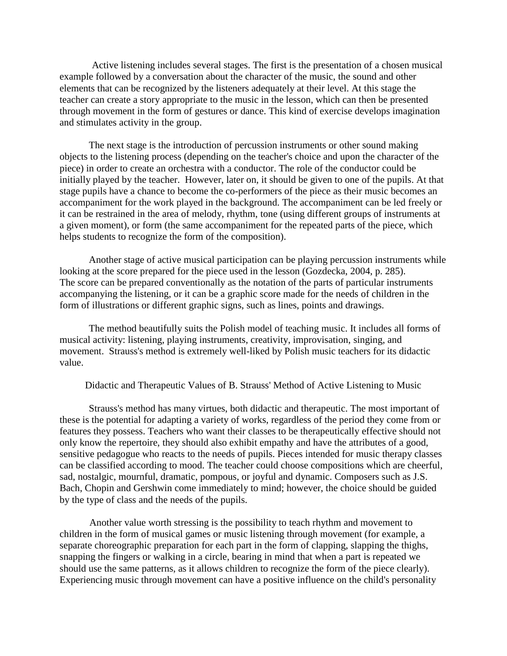Active listening includes several stages. The first is the presentation of a chosen musical example followed by a conversation about the character of the music, the sound and other elements that can be recognized by the listeners adequately at their level. At this stage the teacher can create a story appropriate to the music in the lesson, which can then be presented through movement in the form of gestures or dance. This kind of exercise develops imagination and stimulates activity in the group.

The next stage is the introduction of percussion instruments or other sound making objects to the listening process (depending on the teacher's choice and upon the character of the piece) in order to create an orchestra with a conductor. The role of the conductor could be initially played by the teacher. However, later on, it should be given to one of the pupils. At that stage pupils have a chance to become the co-performers of the piece as their music becomes an accompaniment for the work played in the background. The accompaniment can be led freely or it can be restrained in the area of melody, rhythm, tone (using different groups of instruments at a given moment), or form (the same accompaniment for the repeated parts of the piece, which helps students to recognize the form of the composition).

Another stage of active musical participation can be playing percussion instruments while looking at the score prepared for the piece used in the lesson (Gozdecka, 2004, p. 285). The score can be prepared conventionally as the notation of the parts of particular instruments accompanying the listening, or it can be a graphic score made for the needs of children in the form of illustrations or different graphic signs, such as lines, points and drawings.

The method beautifully suits the Polish model of teaching music. It includes all forms of musical activity: listening, playing instruments, creativity, improvisation, singing, and movement. Strauss's method is extremely well-liked by Polish music teachers for its didactic value.

Didactic and Therapeutic Values of B. Strauss' Method of Active Listening to Music

Strauss's method has many virtues, both didactic and therapeutic. The most important of these is the potential for adapting a variety of works, regardless of the period they come from or features they possess. Teachers who want their classes to be therapeutically effective should not only know the repertoire, they should also exhibit empathy and have the attributes of a good, sensitive pedagogue who reacts to the needs of pupils. Pieces intended for music therapy classes can be classified according to mood. The teacher could choose compositions which are cheerful, sad, nostalgic, mournful, dramatic, pompous, or joyful and dynamic. Composers such as J.S. Bach, Chopin and Gershwin come immediately to mind; however, the choice should be guided by the type of class and the needs of the pupils.

Another value worth stressing is the possibility to teach rhythm and movement to children in the form of musical games or music listening through movement (for example, a separate choreographic preparation for each part in the form of clapping, slapping the thighs, snapping the fingers or walking in a circle, bearing in mind that when a part is repeated we should use the same patterns, as it allows children to recognize the form of the piece clearly). Experiencing music through movement can have a positive influence on the child's personality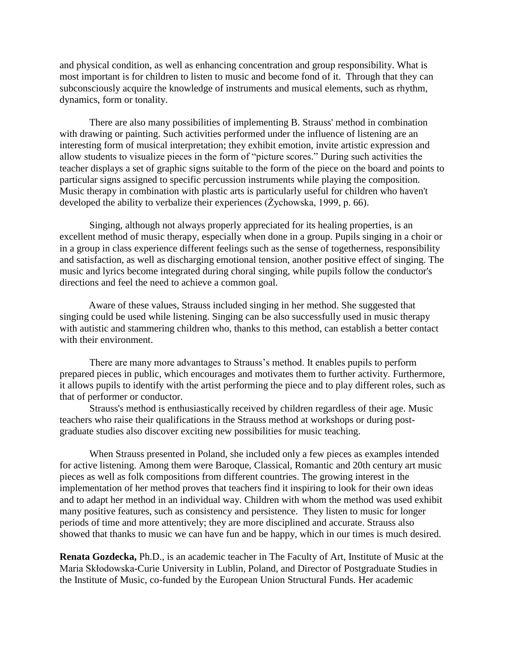and physical condition, as well as enhancing concentration and group responsibility. What is most important is for children to listen to music and become fond of it. Through that they can subconsciously acquire the knowledge of instruments and musical elements, such as rhythm, dynamics, form or tonality.

There are also many possibilities of implementing B. Strauss' method in combination with drawing or painting. Such activities performed under the influence of listening are an interesting form of musical interpretation; they exhibit emotion, invite artistic expression and allow students to visualize pieces in the form of "picture scores." During such activities the teacher displays a set of graphic signs suitable to the form of the piece on the board and points to particular signs assigned to specific percussion instruments while playing the composition. Music therapy in combination with plastic arts is particularly useful for children who haven't developed the ability to verbalize their experiences (Żychowska, 1999, p. 66).

Singing, although not always properly appreciated for its healing properties, is an excellent method of music therapy, especially when done in a group. Pupils singing in a choir or in a group in class experience different feelings such as the sense of togetherness, responsibility and satisfaction, as well as discharging emotional tension, another positive effect of singing. The music and lyrics become integrated during choral singing, while pupils follow the conductor's directions and feel the need to achieve a common goal.

Aware of these values, Strauss included singing in her method. She suggested that singing could be used while listening. Singing can be also successfully used in music therapy with autistic and stammering children who, thanks to this method, can establish a better contact with their environment.

There are many more advantages to Strauss's method. It enables pupils to perform prepared pieces in public, which encourages and motivates them to further activity. Furthermore, it allows pupils to identify with the artist performing the piece and to play different roles, such as that of performer or conductor.

Strauss's method is enthusiastically received by children regardless of their age. Music teachers who raise their qualifications in the Strauss method at workshops or during postgraduate studies also discover exciting new possibilities for music teaching.

When Strauss presented in Poland, she included only a few pieces as examples intended for active listening. Among them were Baroque, Classical, Romantic and 20th century art music pieces as well as folk compositions from different countries. The growing interest in the implementation of her method proves that teachers find it inspiring to look for their own ideas and to adapt her method in an individual way. Children with whom the method was used exhibit many positive features, such as consistency and persistence. They listen to music for longer periods of time and more attentively; they are more disciplined and accurate. Strauss also showed that thanks to music we can have fun and be happy, which in our times is much desired.

**Renata Gozdecka,** Ph.D., is an academic teacher in The Faculty of Art, Institute of Music at the Maria Skłodowska-Curie University in Lublin, Poland, and Director of Postgraduate Studies in the Institute of Music, co-funded by the European Union Structural Funds. Her academic